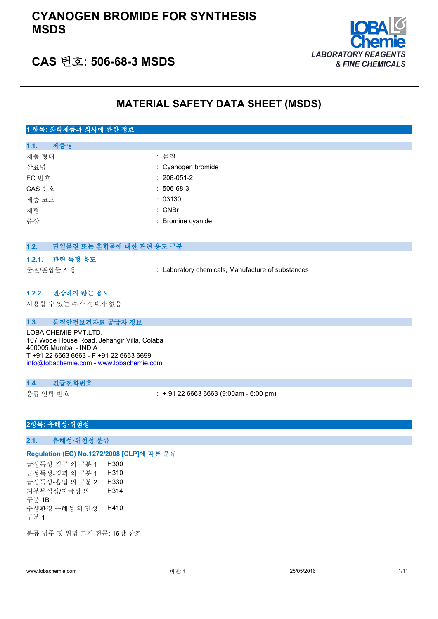### **CYANOGEN BROMIDE FOR SYNTHESIS MSDS**



### **CAS 번호: 506-68-3 MSDS**

### **MATERIAL SAFETY DATA SHEET (MSDS)**

#### **1 항목: 화학제품과 회사에 관한 정보**

| 제품명<br>1.1. |                    |
|-------------|--------------------|
| 제품 형태       | : 물질               |
| 상표명         | : Cyanogen bromide |
| EC 번호       | $: 208 - 051 - 2$  |
| CAS 번호      | $: 506-68-3$       |
| 제품 코드       | : 03130            |
| 제형          | $:$ CNBr           |
| 증상          | : Bromine cyanide  |
|             |                    |

# **1.2. 단일물질 또는 혼합물에 대한 관련 용도 구분 1.2.1. 관련 특정 용도** 물질/혼합물 사용 : Laboratory chemicals, Manufacture of substances

#### **1.2.2. 권장하지 않는 용도**

사용할 수 있는 추가 정보가 없음

#### **1.3. 물질안전보건자료 공급자 정보**

LOBA CHEMIE PVT.LTD. 107 Wode House Road, Jehangir Villa, Colaba 400005 Mumbai - INDIA T +91 22 6663 6663 - F +91 22 6663 6699 [info@lobachemie.com](mailto:info@lobachemie.com) - <www.lobachemie.com>

#### **1.4. 긴급전화번호**

응급 연락 번호 : + 91 22 6663 6663 (9:00am - 6:00 pm)

#### **2항목: 유해성·위험성**

**2.1. 유해성·위험성 분류**

#### **Regulation (EC) No.1272/2008 [CLP]에 따른 분류**

급성독성-경구 의 구분 1 H300 급성독성-경피 의 구분 1 H310 급성독성-흡입 의 구분 2 H330 피부부식성/자극성 의 구분 1B H314 수생환경 유해성 의 만성 H410 구분 1

분류 범주 및 위험 고지 전문: 16항 참조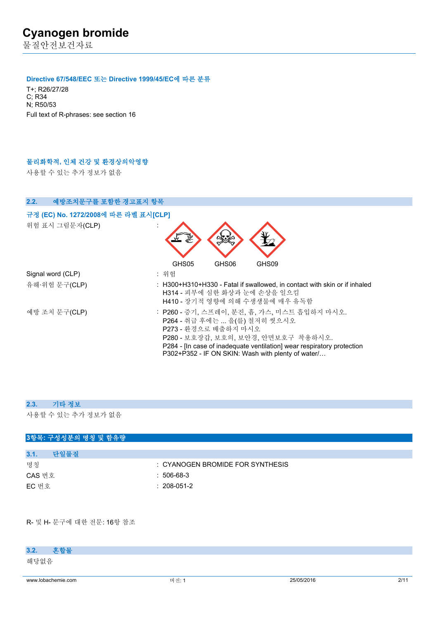물질안전보건자료

#### **Directive 67/548/EEC 또는 Directive 1999/45/EC에 따른 분류**

T+; R26/27/28 C; R34 N; R50/53 Full text of R-phrases: see section 16

#### **물리화학적, 인체 건강 및 환경상의악영향**

사용할 수 있는 추가 정보가 없음

| 2.2.<br>예방조치문구를 포함한 경고표지 항목          |                                                                                                                                                                                                                                                                            |
|--------------------------------------|----------------------------------------------------------------------------------------------------------------------------------------------------------------------------------------------------------------------------------------------------------------------------|
| 규정 (EC) No. 1272/2008에 따른 라벨 표시[CLP] |                                                                                                                                                                                                                                                                            |
| 위험 표시 그림문자(CLP)                      |                                                                                                                                                                                                                                                                            |
|                                      | GHS05<br>GHS06<br>GHS09                                                                                                                                                                                                                                                    |
| Signal word (CLP)                    | : 위험                                                                                                                                                                                                                                                                       |
| 유해·위험 문구(CLP)                        | : H300+H310+H330 - Fatal if swallowed, in contact with skin or if inhaled<br>H314 - 피부에 심한 화상과 눈에 손상을 일으킴<br>H410 - 장기적 영향에 의해 수생생물에 매우 유독함                                                                                                                                |
| 예방 조치 문구(CLP)                        | : P260 - 증기, 스프레이, 분진, 흄, 가스, 미스트 흡입하지 마시오.<br>P264 - 취급 후에는  을(를) 철저히 씻으시오<br>P273 - 환경으로 배출하지 마시오<br>P280 - 보호장갑, 보호의, 보안경, 안면보호구 착용하시오.<br>P284 - [In case of inadequate ventilation] wear respiratory protection<br>P302+P352 - IF ON SKIN: Wash with plenty of water/ |

#### **2.3. 기타 정보**

사용할 수 있는 추가 정보가 없음

### **3항목: 구성성분의 명칭 및 함유량**

| 3.1.   | 다일물질 |                                      |
|--------|------|--------------------------------------|
| 명칭     |      | $\pm$ CYANOGEN BROMIDE FOR SYNTHESIS |
| CAS 번호 |      | $: 506-68-3$                         |
| EC 번호  |      | $: 208-051-2$                        |

R- 및 H- 문구에 대한 전문: 16항 참조

### **3.2. 혼합물**

해당없음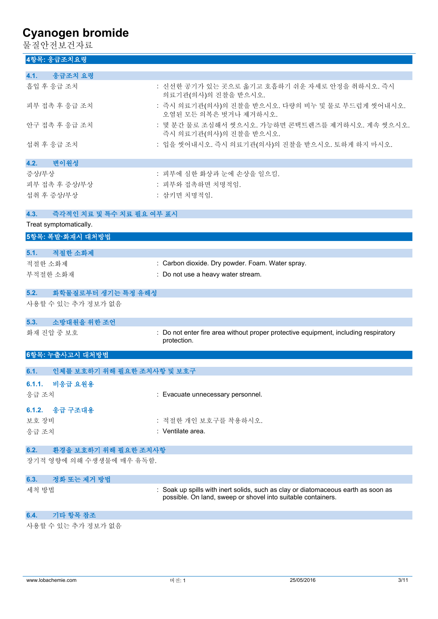물질안전보건자료

|         | 4항목: 응급조치요령                |                                                                                                                                                   |
|---------|----------------------------|---------------------------------------------------------------------------------------------------------------------------------------------------|
| 4.1.    | 응급조치 요령                    |                                                                                                                                                   |
|         | 흡입 후 응급 조치                 | : 신선한 공기가 있는 곳으로 옮기고 호흡하기 쉬운 자세로 안정을 취하시오. 즉시<br>의료기관(의사)의 진찰을 받으시오.                                                                              |
|         | 피부 접촉 후 응급 조치              | : 즉시 의료기관(의사)의 진찰을 받으시오. 다량의 비누 및 물로 부드럽게 씻어내시오.<br>오염된 모든 의복은 벗거나 제거하시오.                                                                         |
|         | 안구 접촉 후 응급 조치              | : 몇 분간 물로 조심해서 씻으시오. 가능하면 콘택트렌즈를 제거하시오. 계속 씻으시오.<br>즉시 의료기관(의사)의 진찰을 받으시오.                                                                        |
|         | 섭취 후 응급 조치                 | : 입을 씻어내시오. 즉시 의료기관(의사)의 진찰을 받으시오. 토하게 하지 마시오.                                                                                                    |
| 4.2.    | 변이원성                       |                                                                                                                                                   |
| 증상/부상   |                            | : 피부에 심한 화상과 눈에 손상을 일으킴.                                                                                                                          |
|         | 피부 접촉 후 증상/부상              | : 피부와 접촉하면 치명적임.                                                                                                                                  |
|         | 섭취 후 증상/부상                 | : 삼키면 치명적임.                                                                                                                                       |
| 4.3.    | 즉각적인 치료 및 특수 치료 필요 여부 표시   |                                                                                                                                                   |
|         | Treat symptomatically.     |                                                                                                                                                   |
|         | 5항목: 폭발·화재시 대처방법           |                                                                                                                                                   |
| 5.1.    | 적절한 소화제                    |                                                                                                                                                   |
| 적절한 소화제 |                            | : Carbon dioxide. Dry powder. Foam. Water spray.                                                                                                  |
|         | 부적절한 소화재                   | : Do not use a heavy water stream.                                                                                                                |
|         |                            |                                                                                                                                                   |
| 5.2.    | 화학물질로부터 생기는 특정 유해성         |                                                                                                                                                   |
|         | 사용할 수 있는 추가 정보가 없음         |                                                                                                                                                   |
| 5.3.    | 소방대원을 위한 조언                |                                                                                                                                                   |
|         | 화재 진압 중 보호                 | : Do not enter fire area without proper protective equipment, including respiratory<br>protection.                                                |
|         | 6항목: 누출사고시 대처방법            |                                                                                                                                                   |
| 6.1.    | 인체를 보호하기 위해 필요한 조치사항 및 보호구 |                                                                                                                                                   |
|         |                            |                                                                                                                                                   |
| 6.1.1.  | 비응급 요원용                    |                                                                                                                                                   |
| 응급 조치   |                            | : Evacuate unnecessary personnel.                                                                                                                 |
|         | 6.1.2. 응급 구조대용             |                                                                                                                                                   |
| 보호 장비   |                            | : 적절한 개인 보호구를 착용하시오.                                                                                                                              |
| 응급 조치   |                            | : Ventilate area.                                                                                                                                 |
| 6.2.    | 환경을 보호하기 위해 필요한 조치사항       |                                                                                                                                                   |
|         | 장기적 영향에 의해 수생생물에 매우 유독함.   |                                                                                                                                                   |
| 6.3.    | 정화 또는 제거 방법                |                                                                                                                                                   |
| 세척 방법   |                            | : Soak up spills with inert solids, such as clay or diatomaceous earth as soon as<br>possible. On land, sweep or shovel into suitable containers. |
| 6.4.    | 기타 항목 참조                   |                                                                                                                                                   |
|         |                            |                                                                                                                                                   |

사용할 수 있는 추가 정보가 없음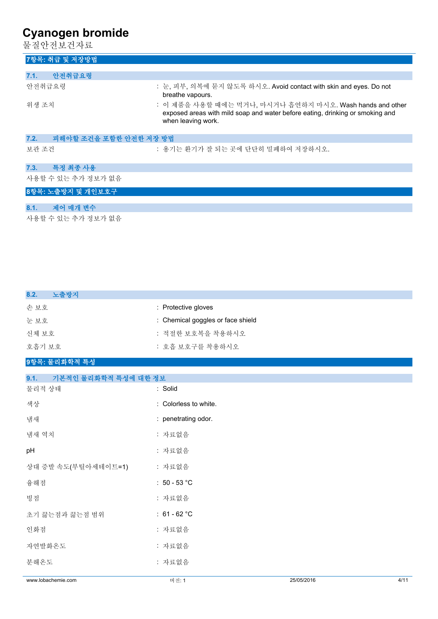물질안전보건자료

| 7항목: 취급 및 저장방법                                                                                                  |                                                                                                                                                                 |
|-----------------------------------------------------------------------------------------------------------------|-----------------------------------------------------------------------------------------------------------------------------------------------------------------|
|                                                                                                                 |                                                                                                                                                                 |
| 안전취급요령<br>7.1.                                                                                                  |                                                                                                                                                                 |
| 안전취급요령                                                                                                          | : 눈, 피부, 의복에 묻지 않도록 하시오. Avoid contact with skin and eyes. Do not<br>breathe vapours.                                                                           |
| 위생 조치                                                                                                           | : 이 제품을 사용할 때에는 먹거나, 마시거나 흡연하지 마시오. Wash hands and other<br>exposed areas with mild soap and water before eating, drinking or smoking and<br>when leaving work. |
| 피해야할 조건을 포함한 안전한 저장 방법<br>7.2.                                                                                  |                                                                                                                                                                 |
| 보관 조건                                                                                                           | : 용기는 환기가 잘 되는 곳에 단단히 밀폐하여 저장하시오.                                                                                                                               |
| 특정 최종 사용<br>7.3.                                                                                                |                                                                                                                                                                 |
| 사용할 수 있는 추가 정보가 없음                                                                                              |                                                                                                                                                                 |
| 8항목: 노출방지 및 개인보호구                                                                                               |                                                                                                                                                                 |
| the contract of the contract of the contract of the contract of the contract of the contract of the contract of |                                                                                                                                                                 |

# **8.1. 제어 매개 변수**

사용할 수 있는 추가 정보가 없음

| 노출방지<br>8.2. |                                   |
|--------------|-----------------------------------|
| 손 보호         | : Protective gloves               |
| 눈 보호         | : Chemical goggles or face shield |
| 신체 보호        | : 적절한 보호복을 착용하시오                  |
| 호흡기 보호       | : 호흡 보호구를 착용하시오                   |
|              |                                   |

### **9항목: 물리화학적 특성**

| 9.1.<br>기본적인 물리화학적 특성에 대한 정보 |                       |            |      |
|------------------------------|-----------------------|------------|------|
| 물리적 상태                       | : Solid               |            |      |
| 색상                           | : Colorless to white. |            |      |
| 냄새                           | : penetrating odor.   |            |      |
| 냄새 역치                        | : 자료없음                |            |      |
| pH                           | : 자료없음                |            |      |
| 상대 증발 속도(부틸아세테이트=1)          | : 자료없음                |            |      |
| 융해점                          | : $50 - 53$ °C        |            |      |
| 빙점                           | : 자료없음                |            |      |
| 초기 끓는점과 끓는점 범위               | : $61 - 62 °C$        |            |      |
| 인화점                          | : 자료없음                |            |      |
| 자연발화온도                       | : 자료없음                |            |      |
| 분해온도                         | : 자료없음                |            |      |
| www.lobachemie.com           | 버전: 1                 | 25/05/2016 | 4/11 |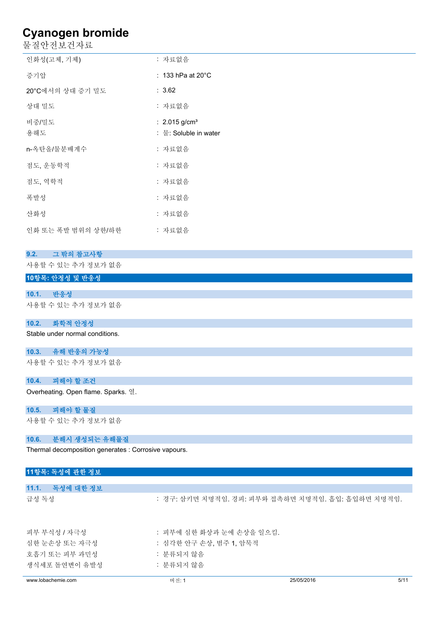물질안전보건자료

| 인화성(고체, 기체)        | : 자료없음                                               |
|--------------------|------------------------------------------------------|
| 증기압                | : 133 hPa at $20^{\circ}$ C                          |
| 20°C에서의 상대 증기 밀도   | : 3.62                                               |
| 상대 밀도              | : 자료없음                                               |
| 비중/밀도<br>용해도       | : $2.015$ g/cm <sup>3</sup><br>: 물: Soluble in water |
| n-옥탄올/물분배계수        | : 자료없음                                               |
| 점도, 운동학적           | : 자료없음                                               |
| 점도, 역학적            | : 자료없음                                               |
| 폭발성                | : 자료없음                                               |
| 산화성                | : 자료없음                                               |
| 인화 또는 폭발 범위의 상한/하한 | : 자료없음                                               |
|                    |                                                      |

#### **9.2. 그 밖의 참고사항**

사용할 수 있는 추가 정보가 없음

#### **10항목: 안정성 및 반응성**

#### **10.1. 반응성**

사용할 수 있는 추가 정보가 없음

#### **10.2. 화학적 안정성**

Stable under normal conditions.

#### **10.3. 유해 반응의 가능성**

사용할 수 있는 추가 정보가 없음

**10.4. 피해야 할 조건**

Overheating. Open flame. Sparks. 열.

#### **10.5. 피해야 할 물질**

사용할 수 있는 추가 정보가 없음

#### **10.6. 분해시 생성되는 유해물질**

Thermal decomposition generates : Corrosive vapours.

| 11항목: 독성에 관한 정보    |                          |                                                   |      |
|--------------------|--------------------------|---------------------------------------------------|------|
|                    |                          |                                                   |      |
| 독성에 대한 정보<br>11.1. |                          |                                                   |      |
| 급성 독성              |                          | : 경구: 삼키면 치명적임. 경피: 피부와 접촉하면 치명적임. 흡입: 흡입하면 치명적임. |      |
| 피부 부식성 / 자극성       | : 피부에 심한 화상과 눈에 손상을 일으킴. |                                                   |      |
| 심한 눈손상 또는 자극성      | : 심각한 안구 손상, 범주 1, 암묵적   |                                                   |      |
| 호흡기 또는 피부 과민성      | : 분류되지 않음                |                                                   |      |
| 생식세포 돌연변이 유발성      | : 분류되지 않음                |                                                   |      |
| www.lobachemie.com | 버전: 1                    | 25/05/2016                                        | 5/11 |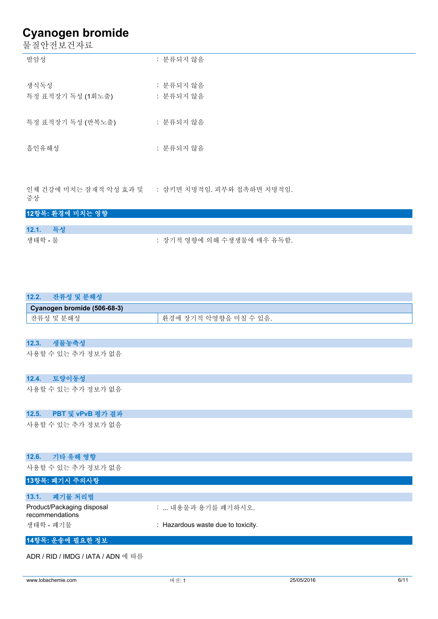물질안전보건자료

| 발암성                       | : 분류되지 않음              |
|---------------------------|------------------------|
| 생식독성<br>특정 표적장기 독성 (1회노출) | : 분류되지 않음<br>: 분류되지 않음 |
| 특정 표적장기 독성 (반복노출)         | : 분류되지 않음              |
| 흡인유해성                     | : 분류되지 않음              |
|                           |                        |

인체 건강에 미치는 잠재적 악성 효과 및 : 삼키면 치명적임. 피부와 접촉하면 치명적임. 증상

| 12항목: 환경에 미치는 영향 |                            |
|------------------|----------------------------|
|                  |                            |
| 12.1. 독성         |                            |
| 생태학 - 물          | : 장기적 영향에 의해 수생생물에 매우 유독함. |

| 잔류성 및 분해성<br>12.2.          |                       |
|-----------------------------|-----------------------|
| Cyanogen bromide (506-68-3) |                       |
| 잔류성 및 분해성                   | 환경에 장기적 악영향을 미칠 수 있음. |

#### **12.3. 생물농축성**

사용할 수 있는 추가 정보가 없음

**12.4. 토양이동성**

사용할 수 있는 추가 정보가 없음

#### **12.5. PBT 및 vPvB 평가 결과**

사용할 수 있는 추가 정보가 없음

| 기타 유해 영향<br>12.6.                             |                                    |
|-----------------------------------------------|------------------------------------|
| 사용할 수 있는 추가 정보가 없음                            |                                    |
| 13항목: 폐기시 주의사항                                |                                    |
|                                               |                                    |
| 폐기물 처리법<br>13.1.                              |                                    |
| Product/Packaging disposal<br>recommendations | :  내용물과 용기를 폐기하시오.                 |
| 생태학 - 폐기물                                     | : Hazardous waste due to toxicity. |
| 14항목: 운송에 필요한 정보                              |                                    |

ADR / RID / IMDG / IATA / ADN 에 따름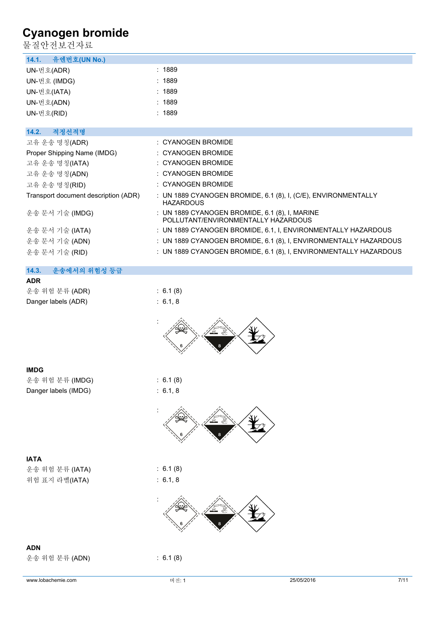물질안전보건자료

| 불질안전보건자료                             |                                                                                       |
|--------------------------------------|---------------------------------------------------------------------------------------|
| 유엔번호(UN No.)<br>14.1.                |                                                                                       |
| UN-번호(ADR)                           | : 1889                                                                                |
| UN-번호 (IMDG)                         | : 1889                                                                                |
| UN-번호(IATA)                          | : 1889                                                                                |
| UN-번호(ADN)                           | : 1889                                                                                |
| UN-번호(RID)                           | : 1889                                                                                |
|                                      |                                                                                       |
| 14.2.<br>적정선적명                       |                                                                                       |
| 고유 운송 명칭(ADR)                        | : CYANOGEN BROMIDE                                                                    |
| Proper Shipping Name (IMDG)          | : CYANOGEN BROMIDE                                                                    |
| 고유 운송 명칭(IATA)                       | : CYANOGEN BROMIDE                                                                    |
| 고유 운송 명칭(ADN)                        | : CYANOGEN BROMIDE                                                                    |
| 고유 운송 명칭(RID)                        | : CYANOGEN BROMIDE                                                                    |
| Transport document description (ADR) | : UN 1889 CYANOGEN BROMIDE, 6.1 (8), I, (C/E), ENVIRONMENTALLY<br><b>HAZARDOUS</b>    |
| 운송 문서 기술 (IMDG)                      | : UN 1889 CYANOGEN BROMIDE, 6.1 (8), I, MARINE<br>POLLUTANT/ENVIRONMENTALLY HAZARDOUS |
| 운송 문서 기술 (IATA)                      | : UN 1889 CYANOGEN BROMIDE, 6.1, I, ENVIRONMENTALLY HAZARDOUS                         |
| 운송 문서 기술 (ADN)                       | : UN 1889 CYANOGEN BROMIDE, 6.1 (8), I, ENVIRONMENTALLY HAZARDOUS                     |
| 운송 문서 기술 (RID)                       | : UN 1889 CYANOGEN BROMIDE, 6.1 (8), I, ENVIRONMENTALLY HAZARDOUS                     |
| 14.3.<br>운송에서의 위험성 등급                |                                                                                       |
| <b>ADR</b>                           |                                                                                       |
| 운송 위험 분류 (ADR)                       | : 6.1(8)                                                                              |
| Danger labels (ADR)                  | : 6.1, 8                                                                              |
|                                      |                                                                                       |
| <b>IMDG</b>                          |                                                                                       |
| 운송 위험 분류 (IMDG)                      | : 6.1(8)                                                                              |
| Danger labels (IMDG)                 | : 6.1, 8                                                                              |
|                                      |                                                                                       |
| <b>IATA</b>                          |                                                                                       |
| 운송 위험 분류 (IATA)                      | : 6.1(8)                                                                              |
| 위험 표지 라벨(IATA)                       | : 6.1, 8                                                                              |
|                                      |                                                                                       |
| <b>ADN</b>                           |                                                                                       |
| 운송 위험 분류 (ADN)                       | : 6.1(8)                                                                              |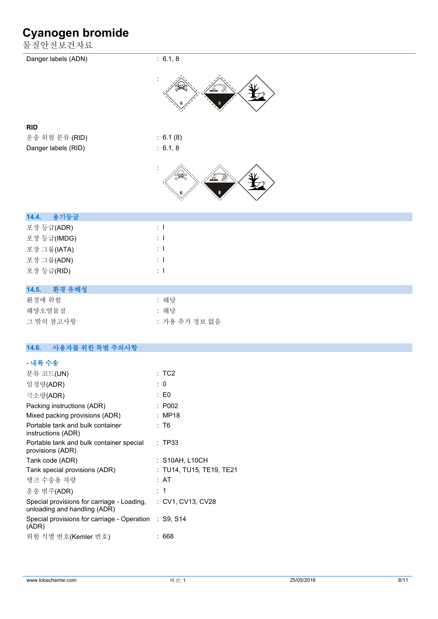물질안전보건자료

| Danger labels (ADN)      | : 6.1, 8           |
|--------------------------|--------------------|
|                          |                    |
| <b>RID</b>               |                    |
| 운송 위험 분류 (RID)           | : 6.1(8)           |
| Danger labels (RID)      | : 6.1, 8           |
|                          |                    |
| 14.4.<br>용기등급            |                    |
| 포장 등급(ADR)               | $\pm$ 1            |
| 포장 등급(IMDG)              | $\pm$ 1            |
| 포장 그룹(IATA)              | $\pm$ 1<br>$\pm$ 1 |
| 포장 그룹(ADN)<br>포장 등급(RID) | $\pm$ 1            |
|                          |                    |
| 14.5.<br>환경 유해성          |                    |
| 환경에 위험                   | : 해당               |
| 해양오염물질                   | : 해당               |
| 그 밖의 참고사항                | : 가용 추가 정보 없음      |
| 14.6.<br>사용자를 위한 특별 주의사항 |                    |
| - 내륙 수송                  |                    |

| 분류 코드(UN)                                                                  | :TC2                     |
|----------------------------------------------------------------------------|--------------------------|
| 일정량(ADR)                                                                   | : 0                      |
| 극소량(ADR)                                                                   | $\pm 50$                 |
| Packing instructions (ADR)                                                 | : P002                   |
| Mixed packing provisions (ADR)                                             | : MP18                   |
| Portable tank and bulk container<br>instructions (ADR)                     | : T6                     |
| Portable tank and bulk container special<br>provisions (ADR)               | : TP33                   |
| Tank code (ADR)                                                            | : S10AH, L10CH           |
| Tank special provisions (ADR)                                              | : TU14, TU15, TE19, TE21 |
| 탱크 수송용 차량                                                                  | : AT                     |
| 운송 범주(ADR)                                                                 | : 1                      |
| Special provisions for carriage - Loading,<br>unloading and handling (ADR) | : CV1, CV13, CV28        |
| Special provisions for carriage - Operation : S9, S14<br>(ADR)             |                          |
| 위험 식별 번호(Kemler 번호)                                                        | 668                      |
|                                                                            |                          |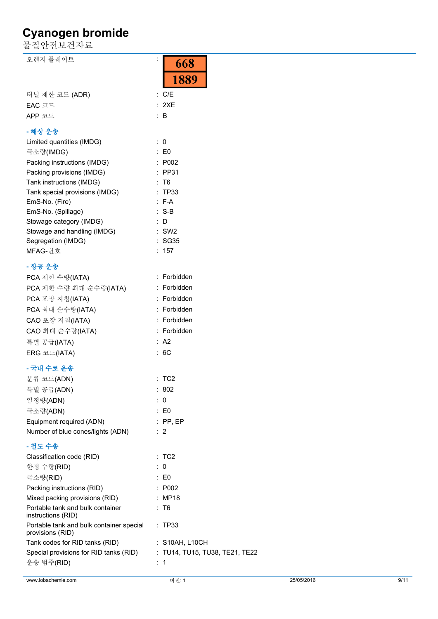물질안전보건자료

오렌지 플레이트 The Contract of the Contract of the Contract of the Contract of the Contract of the Contract of the Co

|                                                        | 1889                          |
|--------------------------------------------------------|-------------------------------|
| 터널 제한 코드 (ADR)                                         | C/E<br>÷                      |
| EAC 코드                                                 | : 2XE                         |
| APP 코드                                                 | : B                           |
| - 해상 운송                                                |                               |
| Limited quantities (IMDG)                              | $\therefore$ 0                |
| 극소량(IMDG)                                              | $\therefore$ EO               |
| Packing instructions (IMDG)                            | : P002                        |
| Packing provisions (IMDG)                              | $:$ PP31                      |
| Tank instructions (IMDG)                               | T6                            |
| Tank special provisions (IMDG)                         | <b>TP33</b><br>$\ddot{\cdot}$ |
| EmS-No. (Fire)                                         | $: F-A$                       |
| EmS-No. (Spillage)                                     | $:$ S-B                       |
| Stowage category (IMDG)                                | D                             |
| Stowage and handling (IMDG)                            | SW2                           |
| Segregation (IMDG)                                     | SG35                          |
| MFAG-번호                                                | : 157                         |
| - 항공 운송                                                |                               |
| PCA 제한 수량(IATA)                                        | : Forbidden                   |
| PCA 제한 수량 최대 순수량(IATA)                                 | : Forbidden                   |
| PCA 포장 지침(IATA)                                        | : Forbidden                   |
| PCA 최대 순수량(IATA)                                       | : Forbidden                   |
| CAO 포장 지침(IATA)                                        | Forbidden                     |
| CAO 최대 순수량(IATA)                                       | : Forbidden                   |
| 특별 공급(IATA)                                            | : A2                          |
| ERG 코드(IATA)                                           | : 6C                          |
| - 국내 수로 운송                                             |                               |
| 분류 코드(ADN)                                             | $:$ TC2                       |
| 특별 공급(ADN)                                             | : 802                         |
| 일정량(ADN)                                               | : 0                           |
| 극소량(ADN)                                               | E0                            |
| Equipment required (ADN)                               | PP, EP                        |
| Number of blue cones/lights (ADN)                      | -2                            |
| - 철도 수송                                                |                               |
| Classification code (RID)                              | :TC2                          |
| 한정 수량(RID)                                             | $\mathbf{0}$                  |
| 극소량(RID)                                               | : E0                          |
| Packing instructions (RID)                             | P002                          |
| Mixed packing provisions (RID)                         | <b>MP18</b>                   |
| Portable tank and bulk container<br>instructions (RID) | T6                            |
| Portable tank and bulk container special               | <b>TP33</b>                   |

운송 범주(RID) : 1

Tank codes for RID tanks (RID) : S10AH, L10CH

Special provisions for RID tanks (RID) : TU14, TU15, TU38, TE21, TE22

provisions (RID)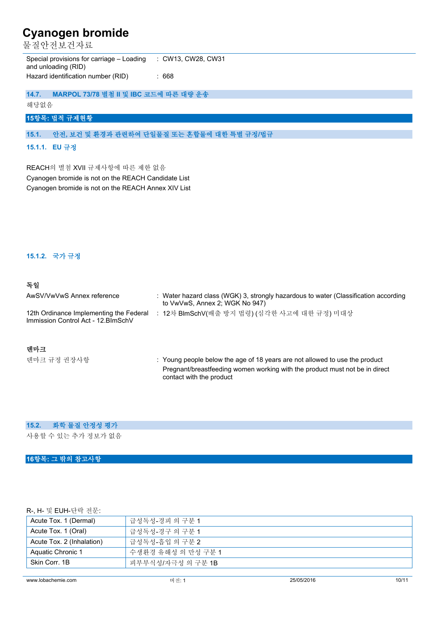물질안전보건자료

Special provisions for carriage – Loading and unloading (RID) : CW13, CW28, CW31 Hazard identification number (RID) : 668

**14.7. MARPOL 73/78 별첨 II 및 IBC 코드에 따른 대량 운송**

해당없음

#### **15항목: 법적 규제현황**

#### **15.1. 안전, 보건 및 환경과 관련하여 단일물질 또는 혼합물에 대한 특별 규정/법규**

#### **15.1.1. EU 규정**

REACH의 별첨 XVII 규제사항에 따른 제한 없음 Cyanogen bromide is not on the REACH Candidate List Cyanogen bromide is not on the REACH Annex XIV List

#### **15.1.2. 국가 규정**

#### **독일**

| AwSV/VwVwS Annex reference                                                     | : Water hazard class (WGK) 3, strongly hazardous to water (Classification according<br>to VwVwS, Annex 2; WGK No 947) |
|--------------------------------------------------------------------------------|-----------------------------------------------------------------------------------------------------------------------|
| 12th Ordinance Implementing the Federal<br>Immission Control Act - 12. BlmSchV | 12차 BlmSchV(배출 방지 법령) (심각한 사고에 대한 규정) 미대상                                                                             |
| 덴마크                                                                            |                                                                                                                       |

덴마크 규정 권장사항 **: Young people below the age of 18 years are not allowed to use the product** Pregnant/breastfeeding women working with the product must not be in direct contact with the product

#### **15.2. 화학 물질 안정성 평가**

사용할 수 있는 추가 정보가 없음

#### **16항목: 그 밖의 참고사항**

#### R-, H- 및 EUH-단락 전문:

| Acute Tox. 1 (Dermal)     | 급성독성-경피 의 구분 1     |
|---------------------------|--------------------|
| Acute Tox. 1 (Oral)       | 급성독성-경구 의 구분 1     |
| Acute Tox. 2 (Inhalation) | 급성독성-흠입 의 구분 2     |
| Aquatic Chronic 1         | 수생환경 유해성 의 만성 구분 1 |
| Skin Corr, 1B             | 피부부식성/자극성 의 구분 1B  |